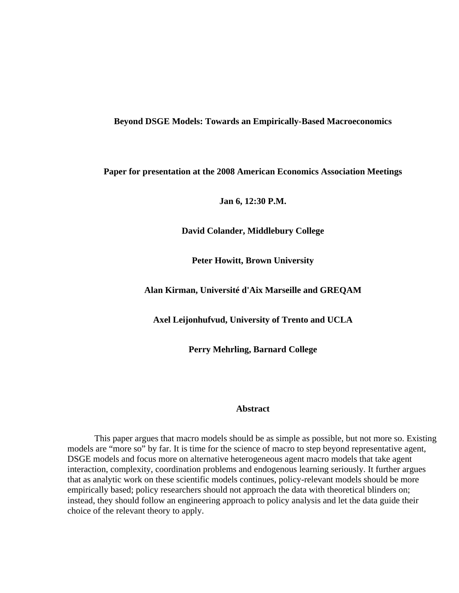# **Beyond DSGE Models: Towards an Empirically-Based Macroeconomics**

### **Paper for presentation at the 2008 American Economics Association Meetings**

**Jan 6, 12:30 P.M.** 

**David Colander, Middlebury College** 

**Peter Howitt, Brown University** 

**Alan Kirman, Université d'Aix Marseille and GREQAM** 

**Axel Leijonhufvud, University of Trento and UCLA** 

**Perry Mehrling, Barnard College** 

#### **Abstract**

 This paper argues that macro models should be as simple as possible, but not more so. Existing models are "more so" by far. It is time for the science of macro to step beyond representative agent, DSGE models and focus more on alternative heterogeneous agent macro models that take agent interaction, complexity, coordination problems and endogenous learning seriously. It further argues that as analytic work on these scientific models continues, policy-relevant models should be more empirically based; policy researchers should not approach the data with theoretical blinders on; instead, they should follow an engineering approach to policy analysis and let the data guide their choice of the relevant theory to apply.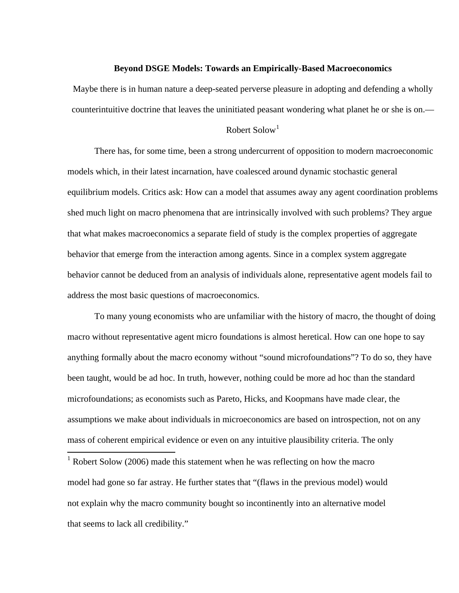### **Beyond DSGE Models: Towards an Empirically-Based Macroeconomics**

Maybe there is in human nature a deep-seated perverse pleasure in adopting and defending a wholly counterintuitive doctrine that leaves the uninitiated peasant wondering what planet he or she is on.—

# Robert Solow<sup>[1](#page-1-0)</sup>

There has, for some time, been a strong undercurrent of opposition to modern macroeconomic models which, in their latest incarnation, have coalesced around dynamic stochastic general equilibrium models. Critics ask: How can a model that assumes away any agent coordination problems shed much light on macro phenomena that are intrinsically involved with such problems? They argue that what makes macroeconomics a separate field of study is the complex properties of aggregate behavior that emerge from the interaction among agents. Since in a complex system aggregate behavior cannot be deduced from an analysis of individuals alone, representative agent models fail to address the most basic questions of macroeconomics.

To many young economists who are unfamiliar with the history of macro, the thought of doing macro without representative agent micro foundations is almost heretical. How can one hope to say anything formally about the macro economy without "sound microfoundations"? To do so, they have been taught, would be ad hoc. In truth, however, nothing could be more ad hoc than the standard microfoundations; as economists such as Pareto, Hicks, and Koopmans have made clear, the assumptions we make about individuals in microeconomics are based on introspection, not on any mass of coherent empirical evidence or even on any intuitive plausibility criteria. The only

<span id="page-1-0"></span> $1$  Robert Solow (2006) made this statement when he was reflecting on how the macro model had gone so far astray. He further states that "(flaws in the previous model) would not explain why the macro community bought so incontinently into an alternative model that seems to lack all credibility."

 $\overline{a}$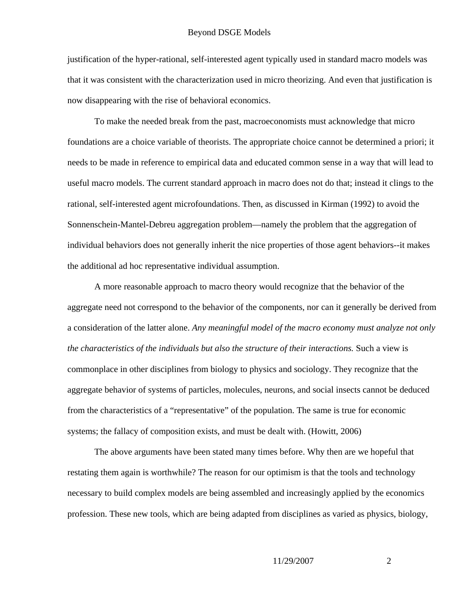justification of the hyper-rational, self-interested agent typically used in standard macro models was that it was consistent with the characterization used in micro theorizing. And even that justification is now disappearing with the rise of behavioral economics.

To make the needed break from the past, macroeconomists must acknowledge that micro foundations are a choice variable of theorists. The appropriate choice cannot be determined a priori; it needs to be made in reference to empirical data and educated common sense in a way that will lead to useful macro models. The current standard approach in macro does not do that; instead it clings to the rational, self-interested agent microfoundations. Then, as discussed in Kirman (1992) to avoid the Sonnenschein-Mantel-Debreu aggregation problem—namely the problem that the aggregation of individual behaviors does not generally inherit the nice properties of those agent behaviors--it makes the additional ad hoc representative individual assumption.

A more reasonable approach to macro theory would recognize that the behavior of the aggregate need not correspond to the behavior of the components, nor can it generally be derived from a consideration of the latter alone. *Any meaningful model of the macro economy must analyze not only the characteristics of the individuals but also the structure of their interactions.* Such a view is commonplace in other disciplines from biology to physics and sociology. They recognize that the aggregate behavior of systems of particles, molecules, neurons, and social insects cannot be deduced from the characteristics of a "representative" of the population. The same is true for economic systems; the fallacy of composition exists, and must be dealt with. (Howitt, 2006)

The above arguments have been stated many times before. Why then are we hopeful that restating them again is worthwhile? The reason for our optimism is that the tools and technology necessary to build complex models are being assembled and increasingly applied by the economics profession. These new tools, which are being adapted from disciplines as varied as physics, biology,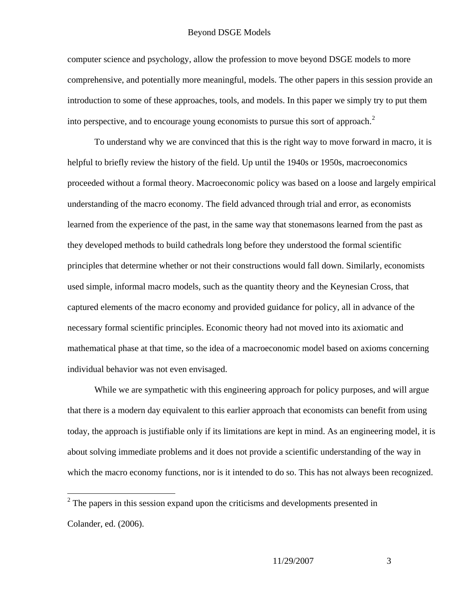computer science and psychology, allow the profession to move beyond DSGE models to more comprehensive, and potentially more meaningful, models. The other papers in this session provide an introduction to some of these approaches, tools, and models. In this paper we simply try to put them into perspective, and to encourage young economists to pursue this sort of approach.[2](#page-3-0)

 To understand why we are convinced that this is the right way to move forward in macro, it is helpful to briefly review the history of the field. Up until the 1940s or 1950s, macroeconomics proceeded without a formal theory. Macroeconomic policy was based on a loose and largely empirical understanding of the macro economy. The field advanced through trial and error, as economists learned from the experience of the past, in the same way that stonemasons learned from the past as they developed methods to build cathedrals long before they understood the formal scientific principles that determine whether or not their constructions would fall down. Similarly, economists used simple, informal macro models, such as the quantity theory and the Keynesian Cross, that captured elements of the macro economy and provided guidance for policy, all in advance of the necessary formal scientific principles. Economic theory had not moved into its axiomatic and mathematical phase at that time, so the idea of a macroeconomic model based on axioms concerning individual behavior was not even envisaged.

While we are sympathetic with this engineering approach for policy purposes, and will argue that there is a modern day equivalent to this earlier approach that economists can benefit from using today, the approach is justifiable only if its limitations are kept in mind. As an engineering model, it is about solving immediate problems and it does not provide a scientific understanding of the way in which the macro economy functions, nor is it intended to do so. This has not always been recognized.

 $\overline{a}$ 

<span id="page-3-0"></span> $2^2$  The papers in this session expand upon the criticisms and developments presented in Colander, ed. (2006).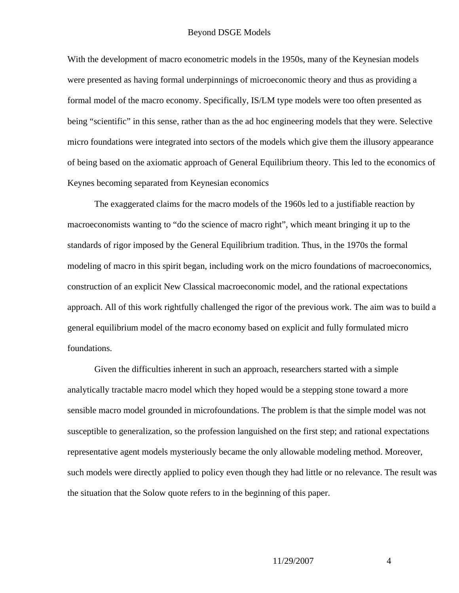With the development of macro econometric models in the 1950s, many of the Keynesian models were presented as having formal underpinnings of microeconomic theory and thus as providing a formal model of the macro economy. Specifically, IS/LM type models were too often presented as being "scientific" in this sense, rather than as the ad hoc engineering models that they were. Selective micro foundations were integrated into sectors of the models which give them the illusory appearance of being based on the axiomatic approach of General Equilibrium theory. This led to the economics of Keynes becoming separated from Keynesian economics

The exaggerated claims for the macro models of the 1960s led to a justifiable reaction by macroeconomists wanting to "do the science of macro right", which meant bringing it up to the standards of rigor imposed by the General Equilibrium tradition. Thus, in the 1970s the formal modeling of macro in this spirit began, including work on the micro foundations of macroeconomics, construction of an explicit New Classical macroeconomic model, and the rational expectations approach. All of this work rightfully challenged the rigor of the previous work. The aim was to build a general equilibrium model of the macro economy based on explicit and fully formulated micro foundations.

Given the difficulties inherent in such an approach, researchers started with a simple analytically tractable macro model which they hoped would be a stepping stone toward a more sensible macro model grounded in microfoundations. The problem is that the simple model was not susceptible to generalization, so the profession languished on the first step; and rational expectations representative agent models mysteriously became the only allowable modeling method. Moreover, such models were directly applied to policy even though they had little or no relevance. The result was the situation that the Solow quote refers to in the beginning of this paper.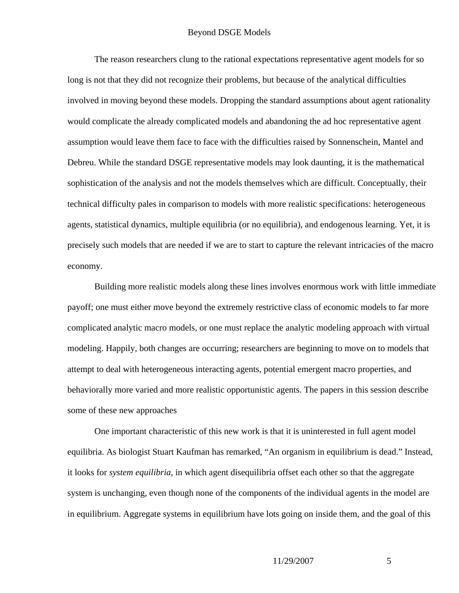The reason researchers clung to the rational expectations representative agent models for so long is not that they did not recognize their problems, but because of the analytical difficulties involved in moving beyond these models. Dropping the standard assumptions about agent rationality would complicate the already complicated models and abandoning the ad hoc representative agent assumption would leave them face to face with the difficulties raised by Sonnenschein, Mantel and Debreu. While the standard DSGE representative models may look daunting, it is the mathematical sophistication of the analysis and not the models themselves which are difficult. Conceptually, their technical difficulty pales in comparison to models with more realistic specifications: heterogeneous agents, statistical dynamics, multiple equilibria (or no equilibria), and endogenous learning. Yet, it is precisely such models that are needed if we are to start to capture the relevant intricacies of the macro economy.

Building more realistic models along these lines involves enormous work with little immediate payoff; one must either move beyond the extremely restrictive class of economic models to far more complicated analytic macro models, or one must replace the analytic modeling approach with virtual modeling. Happily, both changes are occurring; researchers are beginning to move on to models that attempt to deal with heterogeneous interacting agents, potential emergent macro properties, and behaviorally more varied and more realistic opportunistic agents. The papers in this session describe some of these new approaches

One important characteristic of this new work is that it is uninterested in full agent model equilibria. As biologist Stuart Kaufman has remarked, "An organism in equilibrium is dead." Instead, it looks for *system equilibria*, in which agent disequilibria offset each other so that the aggregate system is unchanging, even though none of the components of the individual agents in the model are in equilibrium. Aggregate systems in equilibrium have lots going on inside them, and the goal of this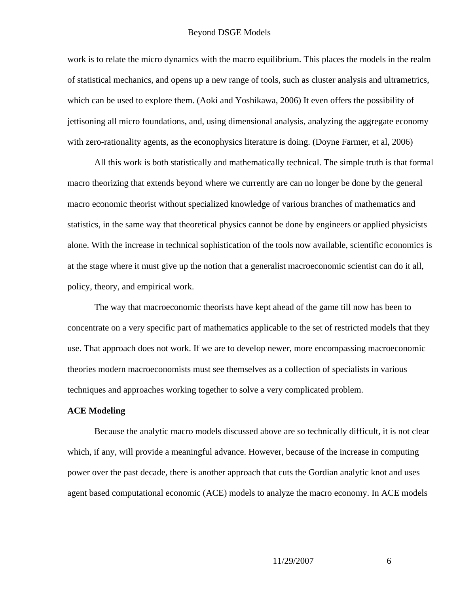work is to relate the micro dynamics with the macro equilibrium. This places the models in the realm of statistical mechanics, and opens up a new range of tools, such as cluster analysis and ultrametrics, which can be used to explore them. (Aoki and Yoshikawa, 2006) It even offers the possibility of jettisoning all micro foundations, and, using dimensional analysis, analyzing the aggregate economy with zero-rationality agents, as the econophysics literature is doing. (Doyne Farmer, et al, 2006)

All this work is both statistically and mathematically technical. The simple truth is that formal macro theorizing that extends beyond where we currently are can no longer be done by the general macro economic theorist without specialized knowledge of various branches of mathematics and statistics, in the same way that theoretical physics cannot be done by engineers or applied physicists alone. With the increase in technical sophistication of the tools now available, scientific economics is at the stage where it must give up the notion that a generalist macroeconomic scientist can do it all, policy, theory, and empirical work.

The way that macroeconomic theorists have kept ahead of the game till now has been to concentrate on a very specific part of mathematics applicable to the set of restricted models that they use. That approach does not work. If we are to develop newer, more encompassing macroeconomic theories modern macroeconomists must see themselves as a collection of specialists in various techniques and approaches working together to solve a very complicated problem.

### **ACE Modeling**

Because the analytic macro models discussed above are so technically difficult, it is not clear which, if any, will provide a meaningful advance. However, because of the increase in computing power over the past decade, there is another approach that cuts the Gordian analytic knot and uses agent based computational economic (ACE) models to analyze the macro economy. In ACE models

11/29/2007 6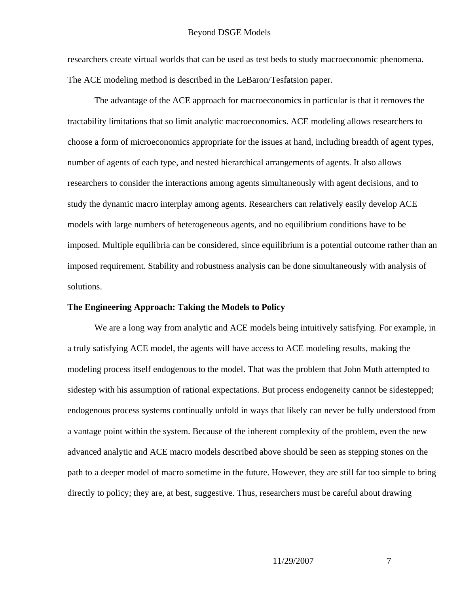researchers create virtual worlds that can be used as test beds to study macroeconomic phenomena. The ACE modeling method is described in the LeBaron/Tesfatsion paper.

The advantage of the ACE approach for macroeconomics in particular is that it removes the tractability limitations that so limit analytic macroeconomics. ACE modeling allows researchers to choose a form of microeconomics appropriate for the issues at hand, including breadth of agent types, number of agents of each type, and nested hierarchical arrangements of agents. It also allows researchers to consider the interactions among agents simultaneously with agent decisions, and to study the dynamic macro interplay among agents. Researchers can relatively easily develop ACE models with large numbers of heterogeneous agents, and no equilibrium conditions have to be imposed. Multiple equilibria can be considered, since equilibrium is a potential outcome rather than an imposed requirement. Stability and robustness analysis can be done simultaneously with analysis of solutions.

# **The Engineering Approach: Taking the Models to Policy**

We are a long way from analytic and ACE models being intuitively satisfying. For example, in a truly satisfying ACE model, the agents will have access to ACE modeling results, making the modeling process itself endogenous to the model. That was the problem that John Muth attempted to sidestep with his assumption of rational expectations. But process endogeneity cannot be sidestepped; endogenous process systems continually unfold in ways that likely can never be fully understood from a vantage point within the system. Because of the inherent complexity of the problem, even the new advanced analytic and ACE macro models described above should be seen as stepping stones on the path to a deeper model of macro sometime in the future. However, they are still far too simple to bring directly to policy; they are, at best, suggestive. Thus, researchers must be careful about drawing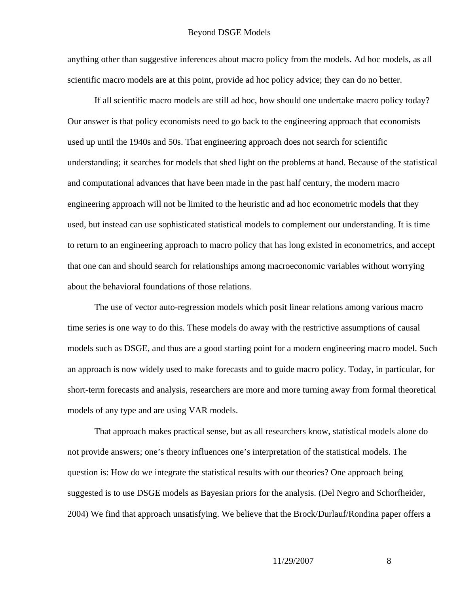anything other than suggestive inferences about macro policy from the models. Ad hoc models, as all scientific macro models are at this point, provide ad hoc policy advice; they can do no better.

If all scientific macro models are still ad hoc, how should one undertake macro policy today? Our answer is that policy economists need to go back to the engineering approach that economists used up until the 1940s and 50s. That engineering approach does not search for scientific understanding; it searches for models that shed light on the problems at hand. Because of the statistical and computational advances that have been made in the past half century, the modern macro engineering approach will not be limited to the heuristic and ad hoc econometric models that they used, but instead can use sophisticated statistical models to complement our understanding. It is time to return to an engineering approach to macro policy that has long existed in econometrics, and accept that one can and should search for relationships among macroeconomic variables without worrying about the behavioral foundations of those relations.

The use of vector auto-regression models which posit linear relations among various macro time series is one way to do this. These models do away with the restrictive assumptions of causal models such as DSGE, and thus are a good starting point for a modern engineering macro model. Such an approach is now widely used to make forecasts and to guide macro policy. Today, in particular, for short-term forecasts and analysis, researchers are more and more turning away from formal theoretical models of any type and are using VAR models.

That approach makes practical sense, but as all researchers know, statistical models alone do not provide answers; one's theory influences one's interpretation of the statistical models. The question is: How do we integrate the statistical results with our theories? One approach being suggested is to use DSGE models as Bayesian priors for the analysis. (Del Negro and Schorfheider, 2004) We find that approach unsatisfying. We believe that the Brock/Durlauf/Rondina paper offers a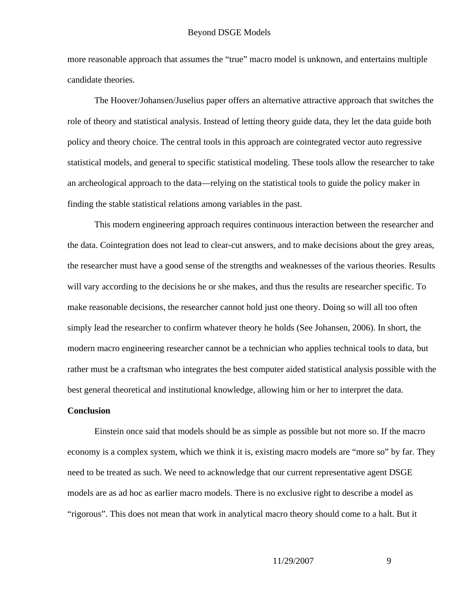more reasonable approach that assumes the "true" macro model is unknown, and entertains multiple candidate theories.

The Hoover/Johansen/Juselius paper offers an alternative attractive approach that switches the role of theory and statistical analysis. Instead of letting theory guide data, they let the data guide both policy and theory choice. The central tools in this approach are cointegrated vector auto regressive statistical models, and general to specific statistical modeling. These tools allow the researcher to take an archeological approach to the data—relying on the statistical tools to guide the policy maker in finding the stable statistical relations among variables in the past.

This modern engineering approach requires continuous interaction between the researcher and the data. Cointegration does not lead to clear-cut answers, and to make decisions about the grey areas, the researcher must have a good sense of the strengths and weaknesses of the various theories. Results will vary according to the decisions he or she makes, and thus the results are researcher specific. To make reasonable decisions, the researcher cannot hold just one theory. Doing so will all too often simply lead the researcher to confirm whatever theory he holds (See Johansen, 2006). In short, the modern macro engineering researcher cannot be a technician who applies technical tools to data, but rather must be a craftsman who integrates the best computer aided statistical analysis possible with the best general theoretical and institutional knowledge, allowing him or her to interpret the data.

## **Conclusion**

 Einstein once said that models should be as simple as possible but not more so. If the macro economy is a complex system, which we think it is, existing macro models are "more so" by far. They need to be treated as such. We need to acknowledge that our current representative agent DSGE models are as ad hoc as earlier macro models. There is no exclusive right to describe a model as "rigorous". This does not mean that work in analytical macro theory should come to a halt. But it